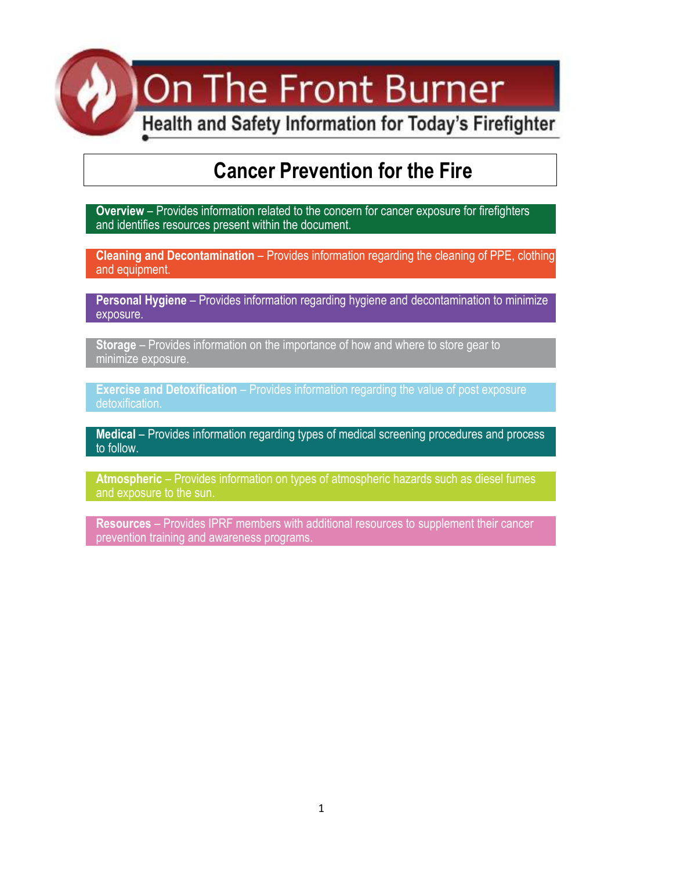On The Front Burner

Health and Safety Information for Today's Firefighter

## **Cancer Prevention for the Fire**

**Overview** – Provides information related to the concern for cancer exposure for firefighters and identifies resources present within the document.

**Cleaning and Decontamination** – Provides information regarding the cleaning of PPE, clothing and equipment.

**Personal Hygiene** – Provides information regarding hygiene and decontamination to minimize exposure.

**Storage** – Provides information on the importance of how and where to store gear to minimize exposure.

**[Exercise and Detoxification](#page-6-0)** – Provides information regarding the value of post exposure detoxification.

**Medical** – Provides information regarding types of medical screening procedures and process to follow.

**Atmospheric** – Provides information on types of atmospheric hazards such as diesel fumes and exposure to the sun.

**Resources** – Provides IPRF members with additional resources to supplement their cancer prevention training and awareness programs.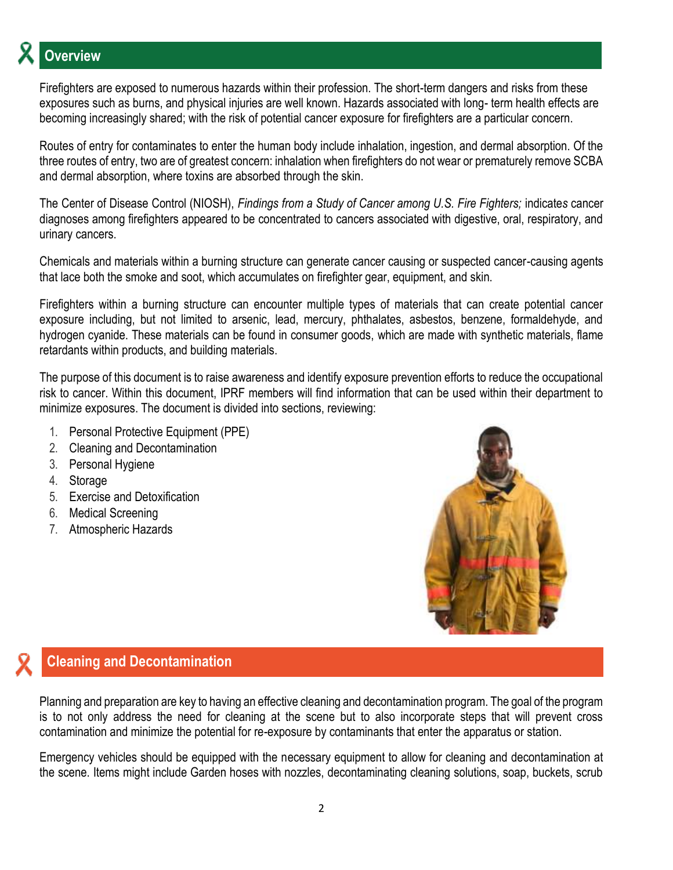# **Overview**

Firefighters are exposed to numerous hazards within their profession. The short-term dangers and risks from these exposures such as burns, and physical injuries are well known. Hazards associated with long- term health effects are becoming increasingly shared; with the risk of potential cancer exposure for firefighters are a particular concern.

Routes of entry for contaminates to enter the human body include inhalation, ingestion, and dermal absorption. Of the three routes of entry, two are of greatest concern: inhalation when firefighters do not wear or prematurely remove SCBA and dermal absorption, where toxins are absorbed through the skin.

The Center of Disease Control (NIOSH), *Findings from a Study of Cancer among U.S. Fire Fighters;* indicate*s* cancer diagnoses among firefighters appeared to be concentrated to cancers associated with digestive, oral, respiratory, and urinary cancers.

Chemicals and materials within a burning structure can generate cancer causing or suspected cancer-causing agents that lace both the smoke and soot, which accumulates on firefighter gear, equipment, and skin.

Firefighters within a burning structure can encounter multiple types of materials that can create potential cancer exposure including, but not limited to arsenic, lead, mercury, phthalates, asbestos, benzene, formaldehyde, and hydrogen cyanide. These materials can be found in consumer goods, which are made with synthetic materials, flame retardants within products, and building materials.

The purpose of this document is to raise awareness and identify exposure prevention efforts to reduce the occupational risk to cancer. Within this document, IPRF members will find information that can be used within their department to minimize exposures. The document is divided into sections, reviewing:

- 1. Personal Protective Equipment (PPE)
- 2. Cleaning and Decontamination
- 3. Personal Hygiene
- 4. Storage
- 5. Exercise and Detoxification
- 6. Medical Screening
- 7. Atmospheric Hazards



## **Cleaning and Decontamination**

Planning and preparation are key to having an effective cleaning and decontamination program. The goal of the program is to not only address the need for cleaning at the scene but to also incorporate steps that will prevent cross contamination and minimize the potential for re-exposure by contaminants that enter the apparatus or station.

Emergency vehicles should be equipped with the necessary equipment to allow for cleaning and decontamination at the scene. Items might include Garden hoses with nozzles, decontaminating cleaning solutions, soap, buckets, scrub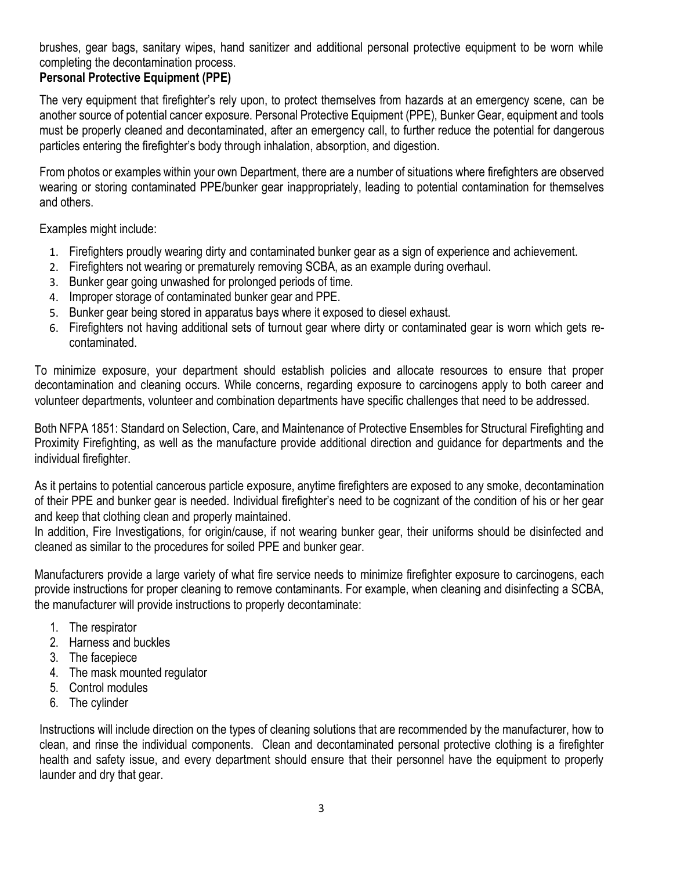brushes, gear bags, sanitary wipes, hand sanitizer and additional personal protective equipment to be worn while completing the decontamination process.

#### **Personal Protective Equipment (PPE)**

The very equipment that firefighter's rely upon, to protect themselves from hazards at an emergency scene, can be another source of potential cancer exposure. Personal Protective Equipment (PPE), Bunker Gear, equipment and tools must be properly cleaned and decontaminated, after an emergency call, to further reduce the potential for dangerous particles entering the firefighter's body through inhalation, absorption, and digestion.

From photos or examples within your own Department, there are a number of situations where firefighters are observed wearing or storing contaminated PPE/bunker gear inappropriately, leading to potential contamination for themselves and others.

Examples might include:

- 1. Firefighters proudly wearing dirty and contaminated bunker gear as a sign of experience and achievement.
- 2. Firefighters not wearing or prematurely removing SCBA, as an example during overhaul.
- 3. Bunker gear going unwashed for prolonged periods of time.
- 4. Improper storage of contaminated bunker gear and PPE.
- 5. Bunker gear being stored in apparatus bays where it exposed to diesel exhaust.
- 6. Firefighters not having additional sets of turnout gear where dirty or contaminated gear is worn which gets recontaminated.

To minimize exposure, your department should establish policies and allocate resources to ensure that proper decontamination and cleaning occurs. While concerns, regarding exposure to carcinogens apply to both career and volunteer departments, volunteer and combination departments have specific challenges that need to be addressed.

Both NFPA 1851: Standard on Selection, Care, and Maintenance of Protective Ensembles for Structural Firefighting and Proximity Firefighting, as well as the manufacture provide additional direction and guidance for departments and the individual firefighter.

As it pertains to potential cancerous particle exposure, anytime firefighters are exposed to any smoke, decontamination of their PPE and bunker gear is needed. Individual firefighter's need to be cognizant of the condition of his or her gear and keep that clothing clean and properly maintained.

In addition, Fire Investigations, for origin/cause, if not wearing bunker gear, their uniforms should be disinfected and cleaned as similar to the procedures for soiled PPE and bunker gear.

Manufacturers provide a large variety of what fire service needs to minimize firefighter exposure to carcinogens, each provide instructions for proper cleaning to remove contaminants. For example, when cleaning and disinfecting a SCBA, the manufacturer will provide instructions to properly decontaminate:

- 1. The respirator
- 2. Harness and buckles
- 3. The facepiece
- 4. The mask mounted regulator
- 5. Control modules
- 6. The cylinder

Instructions will include direction on the types of cleaning solutions that are recommended by the manufacturer, how to clean, and rinse the individual components. Clean and decontaminated personal protective clothing is a firefighter health and safety issue, and every department should ensure that their personnel have the equipment to properly launder and dry that gear.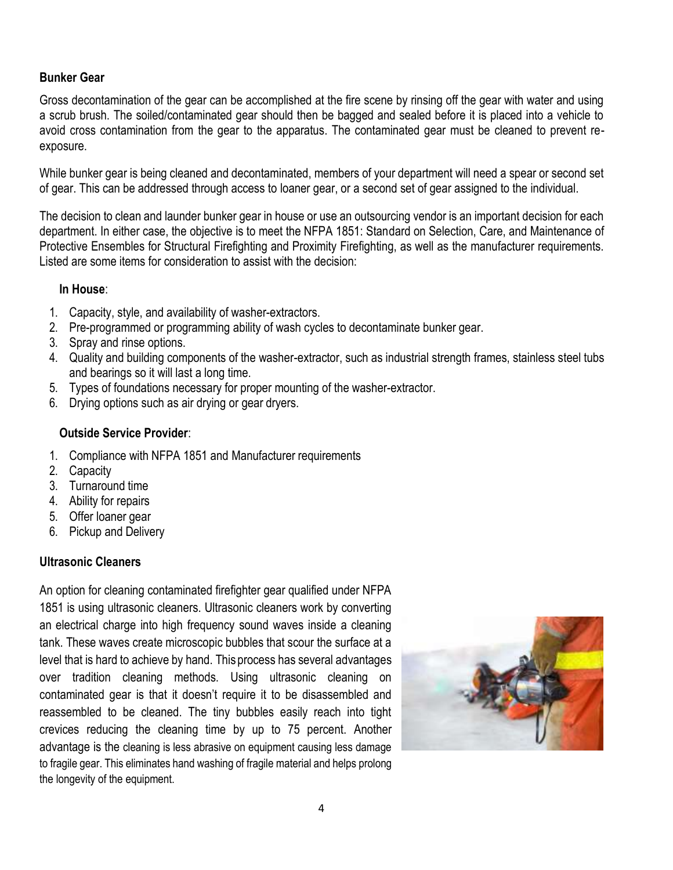#### **Bunker Gear**

Gross decontamination of the gear can be accomplished at the fire scene by rinsing off the gear with water and using a scrub brush. The soiled/contaminated gear should then be bagged and sealed before it is placed into a vehicle to avoid cross contamination from the gear to the apparatus. The contaminated gear must be cleaned to prevent reexposure.

While bunker gear is being cleaned and decontaminated, members of your department will need a spear or second set of gear. This can be addressed through access to loaner gear, or a second set of gear assigned to the individual.

The decision to clean and launder bunker gear in house or use an outsourcing vendor is an important decision for each department. In either case, the objective is to meet the NFPA 1851: Standard on Selection, Care, and Maintenance of Protective Ensembles for Structural Firefighting and Proximity Firefighting, as well as the manufacturer requirements. Listed are some items for consideration to assist with the decision:

#### **In House**:

- 1. Capacity, style, and availability of washer-extractors.
- 2. Pre-programmed or programming ability of wash cycles to decontaminate bunker gear.
- 3. Spray and rinse options.
- 4. Quality and building components of the washer-extractor, such as industrial strength frames, stainless steel tubs and bearings so it will last a long time.
- 5. Types of foundations necessary for proper mounting of the washer-extractor.
- 6. Drying options such as air drying or gear dryers.

#### **Outside Service Provider**:

- 1. Compliance with NFPA 1851 and Manufacturer requirements
- 2. Capacity
- 3. Turnaround time
- 4. Ability for repairs
- 5. Offer loaner gear
- 6. Pickup and Delivery

#### **Ultrasonic Cleaners**

An option for cleaning contaminated firefighter gear qualified under NFPA 1851 is using ultrasonic cleaners. Ultrasonic cleaners work by converting an electrical charge into high frequency sound waves inside a cleaning tank. These waves create microscopic bubbles that scour the surface at a level that is hard to achieve by hand. This process has several advantages over tradition cleaning methods. Using ultrasonic cleaning on contaminated gear is that it doesn't require it to be disassembled and reassembled to be cleaned. The tiny bubbles easily reach into tight crevices reducing the cleaning time by up to 75 percent. Another advantage is the cleaning is less abrasive on equipment causing less damage to fragile gear. This eliminates hand washing of fragile material and helps prolong the longevity of the equipment.

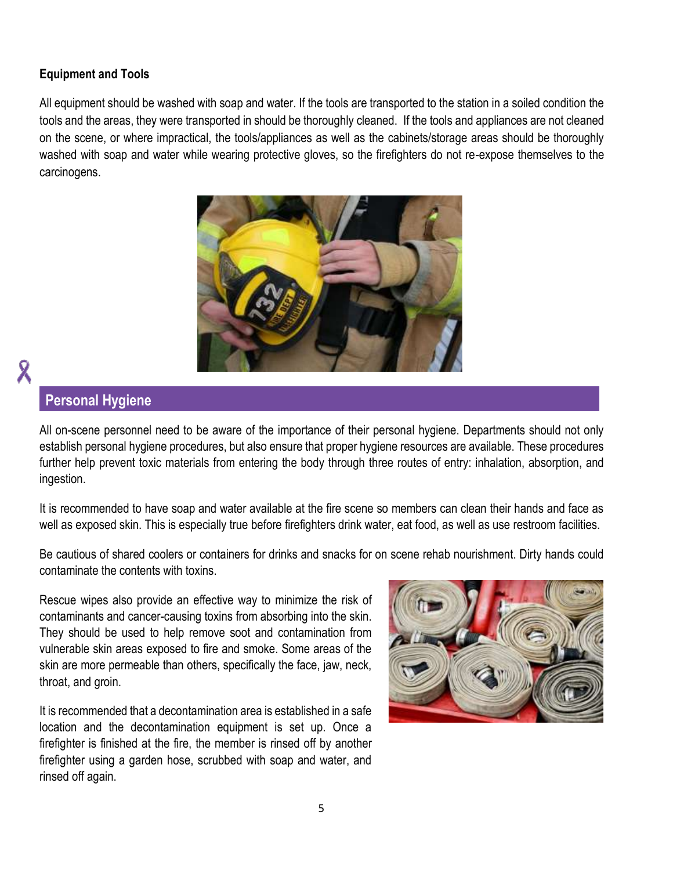#### **Equipment and Tools**

All equipment should be washed with soap and water. If the tools are transported to the station in a soiled condition the tools and the areas, they were transported in should be thoroughly cleaned. If the tools and appliances are not cleaned on the scene, or where impractical, the tools/appliances as well as the cabinets/storage areas should be thoroughly washed with soap and water while wearing protective gloves, so the firefighters do not re-expose themselves to the carcinogens.



# Χ

### **Personal Hygiene**

All on-scene personnel need to be aware of the importance of their personal hygiene. Departments should not only establish personal hygiene procedures, but also ensure that proper hygiene resources are available. These procedures further help prevent toxic materials from entering the body through three routes of entry: inhalation, absorption, and ingestion.

It is recommended to have soap and water available at the fire scene so members can clean their hands and face as well as exposed skin. This is especially true before firefighters drink water, eat food, as well as use restroom facilities.

Be cautious of shared coolers or containers for drinks and snacks for on scene rehab nourishment. Dirty hands could contaminate the contents with toxins.

Rescue wipes also provide an effective way to minimize the risk of contaminants and cancer-causing toxins from absorbing into the skin. They should be used to help remove soot and contamination from vulnerable skin areas exposed to fire and smoke. Some areas of the skin are more permeable than others, specifically the face, jaw, neck, throat, and groin.

It is recommended that a decontamination area is established in a safe location and the decontamination equipment is set up. Once a firefighter is finished at the fire, the member is rinsed off by another firefighter using a garden hose, scrubbed with soap and water, and rinsed off again.

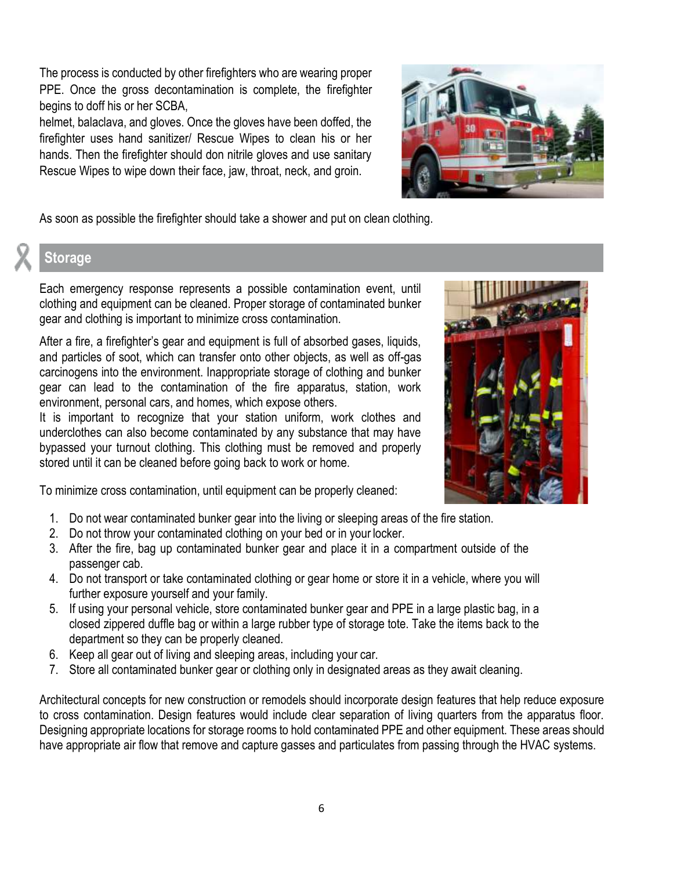The process is conducted by other firefighters who are wearing proper PPE. Once the gross decontamination is complete, the firefighter begins to doff his or her SCBA,

helmet, balaclava, and gloves. Once the gloves have been doffed, the firefighter uses hand sanitizer/ Rescue Wipes to clean his or her hands. Then the firefighter should don nitrile gloves and use sanitary Rescue Wipes to wipe down their face, jaw, throat, neck, and groin.



As soon as possible the firefighter should take a shower and put on clean clothing.

## **Storage**

Each emergency response represents a possible contamination event, until clothing and equipment can be cleaned. Proper storage of contaminated bunker gear and clothing is important to minimize cross contamination.

After a fire, a firefighter's gear and equipment is full of absorbed gases, liquids, and particles of soot, which can transfer onto other objects, as well as off-gas carcinogens into the environment. Inappropriate storage of clothing and bunker gear can lead to the contamination of the fire apparatus, station, work environment, personal cars, and homes, which expose others.

It is important to recognize that your station uniform, work clothes and underclothes can also become contaminated by any substance that may have bypassed your turnout clothing. This clothing must be removed and properly stored until it can be cleaned before going back to work or home.

To minimize cross contamination, until equipment can be properly cleaned:

- 1. Do not wear contaminated bunker gear into the living or sleeping areas of the fire station.
- 2. Do not throw your contaminated clothing on your bed or in your locker.
- 3. After the fire, bag up contaminated bunker gear and place it in a compartment outside of the passenger cab.
- 4. Do not transport or take contaminated clothing or gear home or store it in a vehicle, where you will further exposure yourself and your family.
- 5. If using your personal vehicle, store contaminated bunker gear and PPE in a large plastic bag, in a closed zippered duffle bag or within a large rubber type of storage tote. Take the items back to the department so they can be properly cleaned.
- 6. Keep all gear out of living and sleeping areas, including your car.
- 7. Store all contaminated bunker gear or clothing only in designated areas as they await cleaning.

Architectural concepts for new construction or remodels should incorporate design features that help reduce exposure to cross contamination. Design features would include clear separation of living quarters from the apparatus floor. Designing appropriate locations for storage rooms to hold contaminated PPE and other equipment. These areas should have appropriate air flow that remove and capture gasses and particulates from passing through the HVAC systems.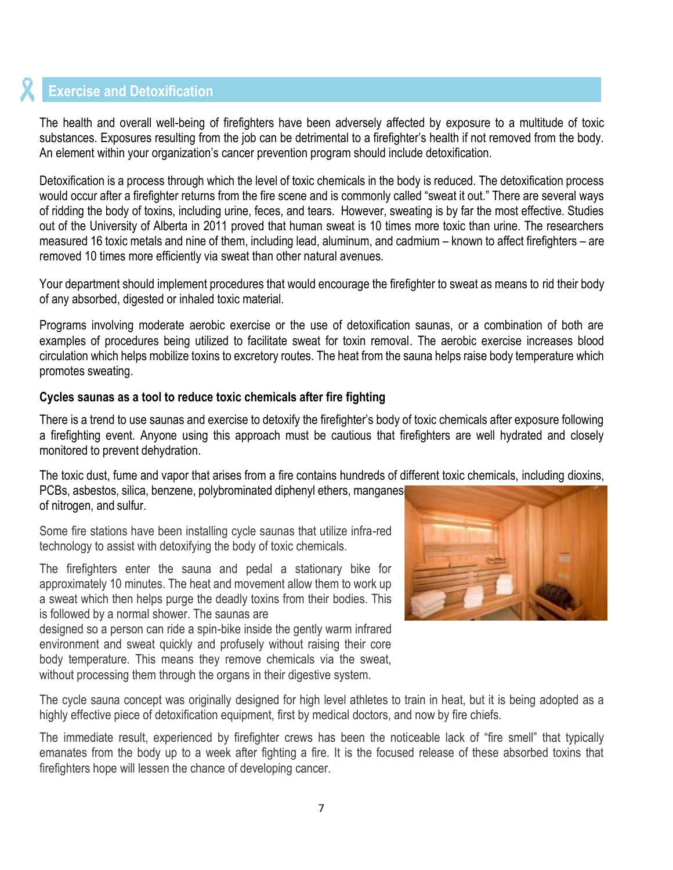## <span id="page-6-0"></span>**Exercise and Detoxification**

The health and overall well-being of firefighters have been adversely affected by exposure to a multitude of toxic substances. Exposures resulting from the job can be detrimental to a firefighter's health if not removed from the body. An element within your organization's cancer prevention program should include detoxification.

Detoxification is a process through which the level of toxic chemicals in the body is reduced. The detoxification process would occur after a firefighter returns from the fire scene and is commonly called "sweat it out." There are several ways of ridding the body of toxins, including urine, feces, and tears. However, sweating is by far the most effective. Studies out of the University of Alberta in 2011 proved that human sweat is 10 times more toxic than urine. The researchers measured 16 toxic metals and nine of them, including lead, aluminum, and cadmium – known to affect firefighters – are removed 10 times more efficiently via sweat than other natural avenues.

Your department should implement procedures that would encourage the firefighter to sweat as means to rid their body of any absorbed, digested or inhaled toxic material.

Programs involving moderate aerobic exercise or the use of detoxification saunas, or a combination of both are examples of procedures being utilized to facilitate sweat for toxin removal. The aerobic exercise increases blood circulation which helps mobilize toxins to excretory routes. The heat from the sauna helps raise body temperature which promotes sweating.

#### **Cycles saunas as a tool to reduce toxic chemicals after fire fighting**

There is a trend to use saunas and exercise to detoxify the firefighter's body of toxic chemicals after exposure following a firefighting event. Anyone using this approach must be cautious that firefighters are well hydrated and closely monitored to prevent dehydration.

The toxic dust, fume and vapor that arises from a fire contains hundreds of different toxic chemicals, including dioxins, PCBs, asbestos, silica, benzene, polybrominated diphenyl ethers, manganes of nitrogen, and sulfur.

Some fire stations have been installing cycle saunas that utilize infra-red technology to assist with detoxifying the body of toxic chemicals.

The firefighters enter the sauna and pedal a stationary bike for approximately 10 minutes. The heat and movement allow them to work up a sweat which then helps purge the deadly toxins from their bodies. This is followed by a normal shower. The saunas are

designed so a person can ride a spin-bike inside the gently warm infrared environment and sweat quickly and profusely without raising their core body temperature. This means they remove chemicals via the sweat, without processing them through the organs in their digestive system.



The cycle sauna concept was originally designed for high level athletes to train in heat, but it is being adopted as a highly effective piece of detoxification equipment, first by medical doctors, and now by fire chiefs.

The immediate result, experienced by firefighter crews has been the noticeable lack of "fire smell" that typically emanates from the body up to a week after fighting a fire. It is the focused release of these absorbed toxins that firefighters hope will lessen the chance of developing cancer.